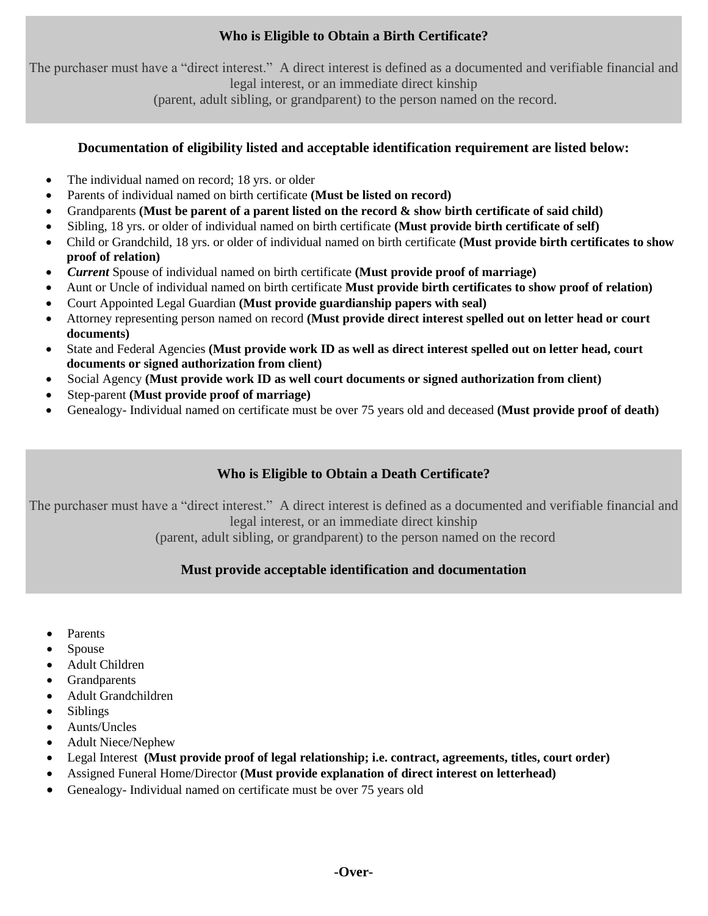# **Who is Eligible to Obtain a Birth Certificate?**

The purchaser must have a "direct interest." A direct interest is defined as a documented and verifiable financial and legal interest, or an immediate direct kinship

(parent, adult sibling, or grandparent) to the person named on the record.

#### **Documentation of eligibility listed and acceptable identification requirement are listed below:**

- The individual named on record; 18 yrs. or older
- Parents of individual named on birth certificate **(Must be listed on record)**
- Grandparents **(Must be parent of a parent listed on the record & show birth certificate of said child)**
- Sibling, 18 yrs. or older of individual named on birth certificate **(Must provide birth certificate of self)**
- Child or Grandchild, 18 yrs. or older of individual named on birth certificate **(Must provide birth certificates to show proof of relation)**
- *Current* Spouse of individual named on birth certificate **(Must provide proof of marriage)**
- Aunt or Uncle of individual named on birth certificate **Must provide birth certificates to show proof of relation)**
- Court Appointed Legal Guardian **(Must provide guardianship papers with seal)**
- Attorney representing person named on record **(Must provide direct interest spelled out on letter head or court documents)**
- State and Federal Agencies **(Must provide work ID as well as direct interest spelled out on letter head, court documents or signed authorization from client)**
- Social Agency **(Must provide work ID as well court documents or signed authorization from client)**
- Step-parent **(Must provide proof of marriage)**
- Genealogy- Individual named on certificate must be over 75 years old and deceased **(Must provide proof of death)**

# **Who is Eligible to Obtain a Death Certificate?**

The purchaser must have a "direct interest." A direct interest is defined as a documented and verifiable financial and legal interest, or an immediate direct kinship

(parent, adult sibling, or grandparent) to the person named on the record

## **Must provide acceptable identification and documentation**

- Parents
- Spouse
- Adult Children
- Grandparents
- Adult Grandchildren
- Siblings
- Aunts/Uncles
- Adult Niece/Nephew
- Legal Interest **(Must provide proof of legal relationship; i.e. contract, agreements, titles, court order)**
- Assigned Funeral Home/Director **(Must provide explanation of direct interest on letterhead)**
- Genealogy- Individual named on certificate must be over 75 years old